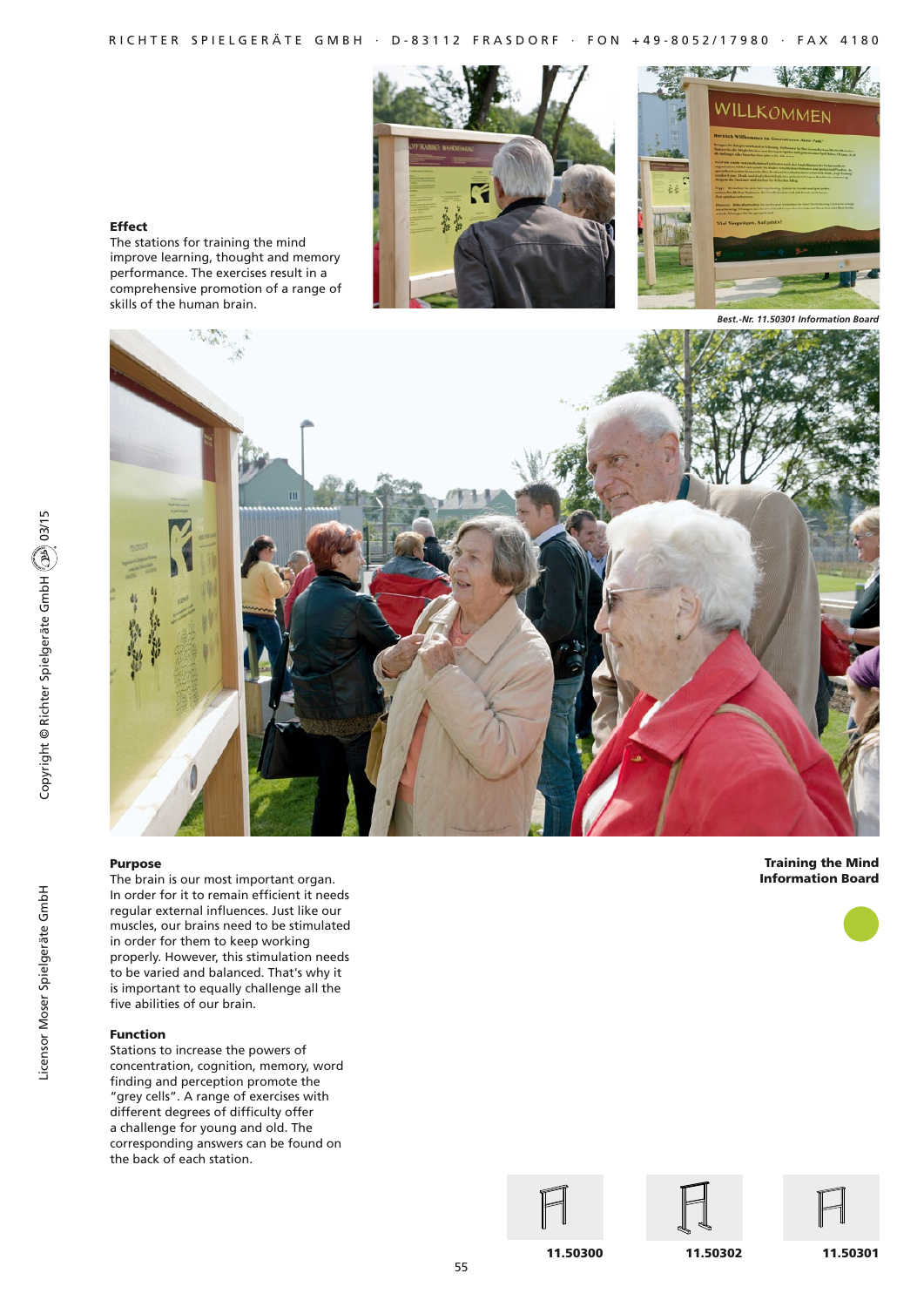

### Effect

The stations for training the mind improve learning, thought and memory performance. The exercises result in a comprehensive promotion of a range of skills of the human brain.

*Best.-Nr. 11.50301 Information Board*



### Purpose

The brain is our most important organ. In order for it to remain efficient it needs regular external influences. Just like our muscles, our brains need to be stimulated in order for them to keep working properly. However, this stimulation needs to be varied and balanced. That's why it is important to equally challenge all the five abilities of our brain.

### Function

Stations to increase the powers of concentration, cognition, memory, word finding and perception promote the "grey cells". A range of exercises with different degrees of difficulty offer a challenge for young and old. The corresponding answers can be found on the back of each station.

Training the Mind Information Board





11.50300



11.50302





11.50301